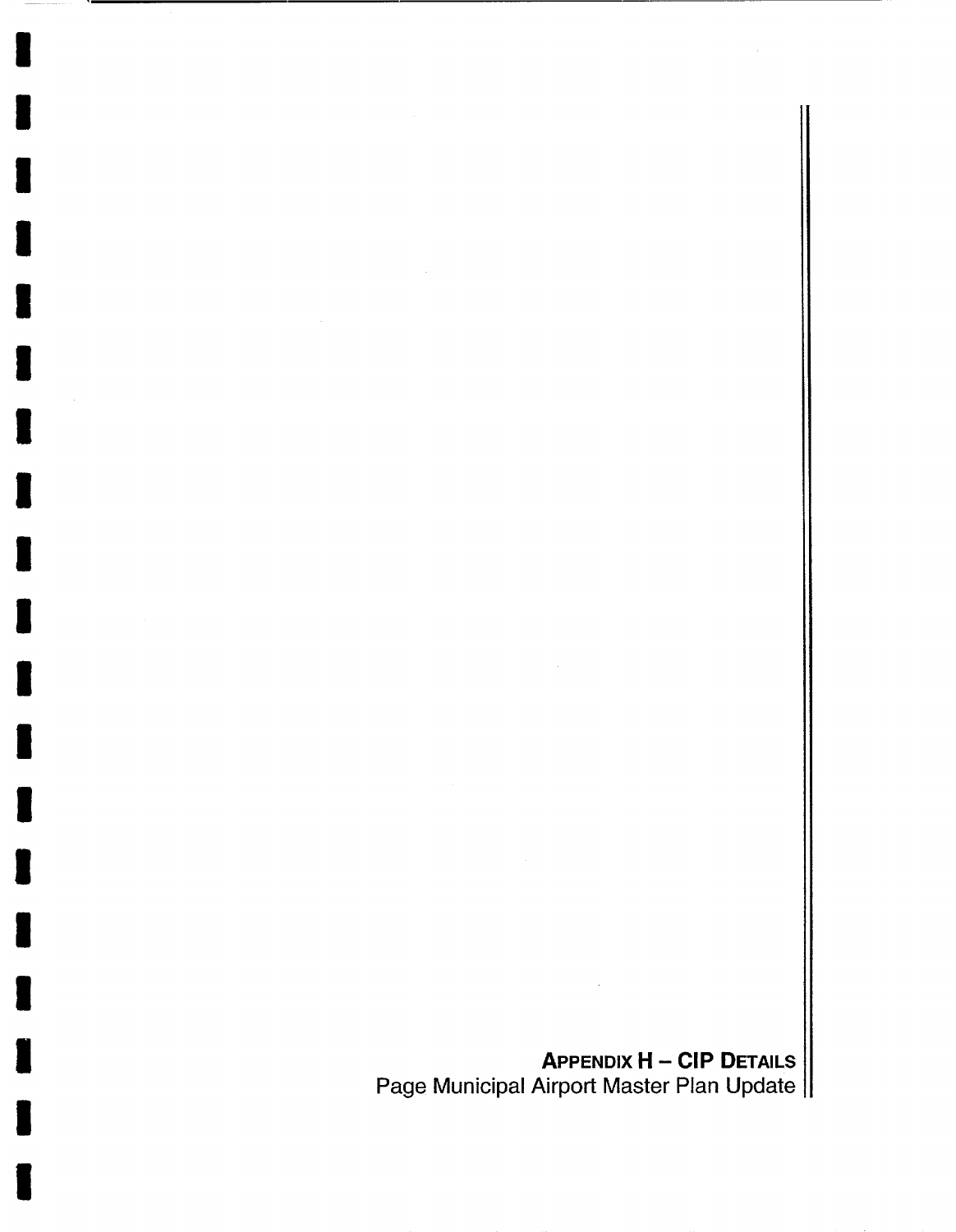**APPENDIX H - CIP DETAILS**  Page Municipal Airport Master Plan Update

 $\mathbb{Z}^2$ 

 $\bar{\psi}$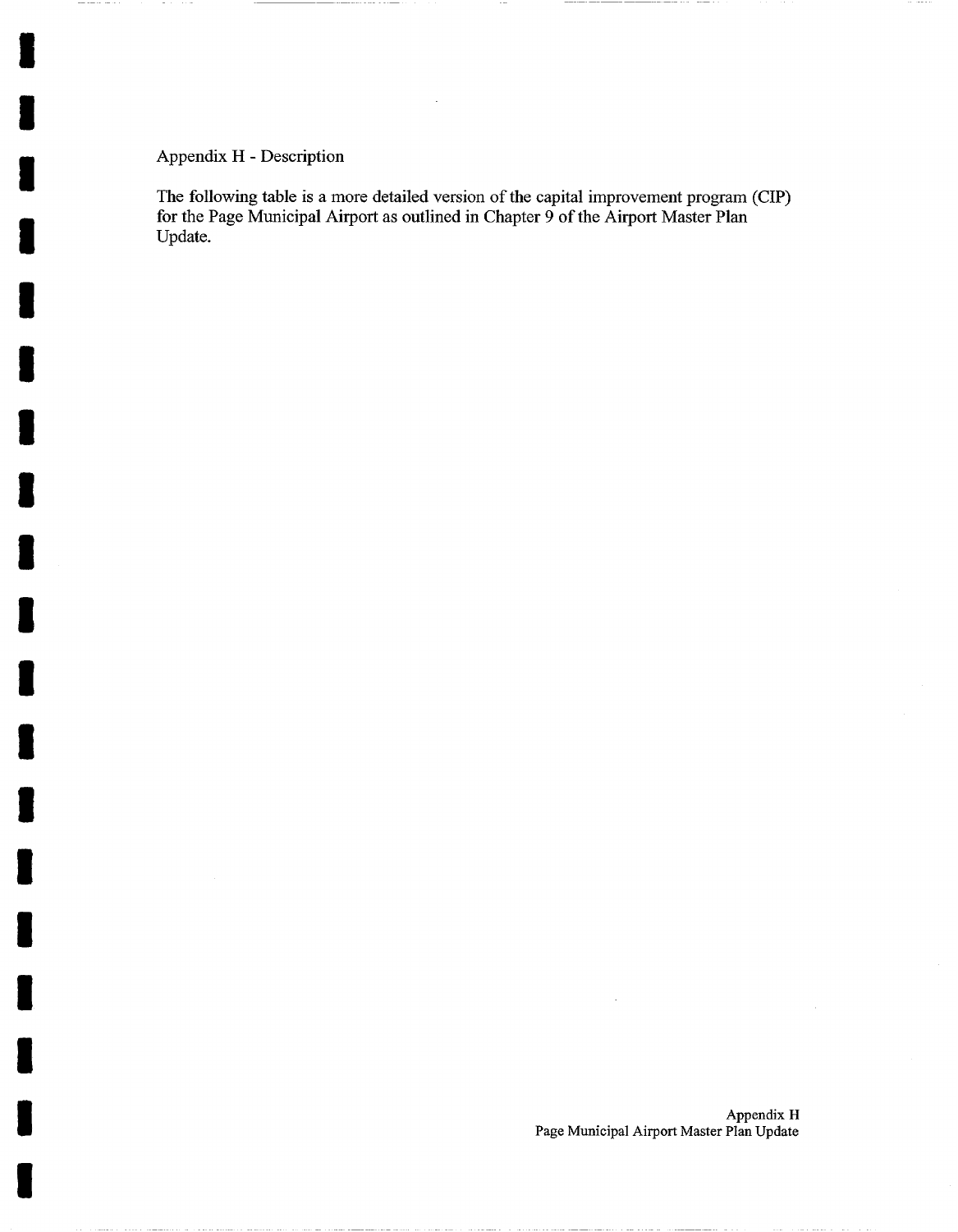Appendix H - Description

I

------

I

I

I

I

I

I

I

I

I

I

I

I

I

I

I

I

I

I

The following table is a more detailed version of the capital improvement program (CIP) for the Page Municipal Airport as outlined in Chapter 9 of the Airport Master Plan Update.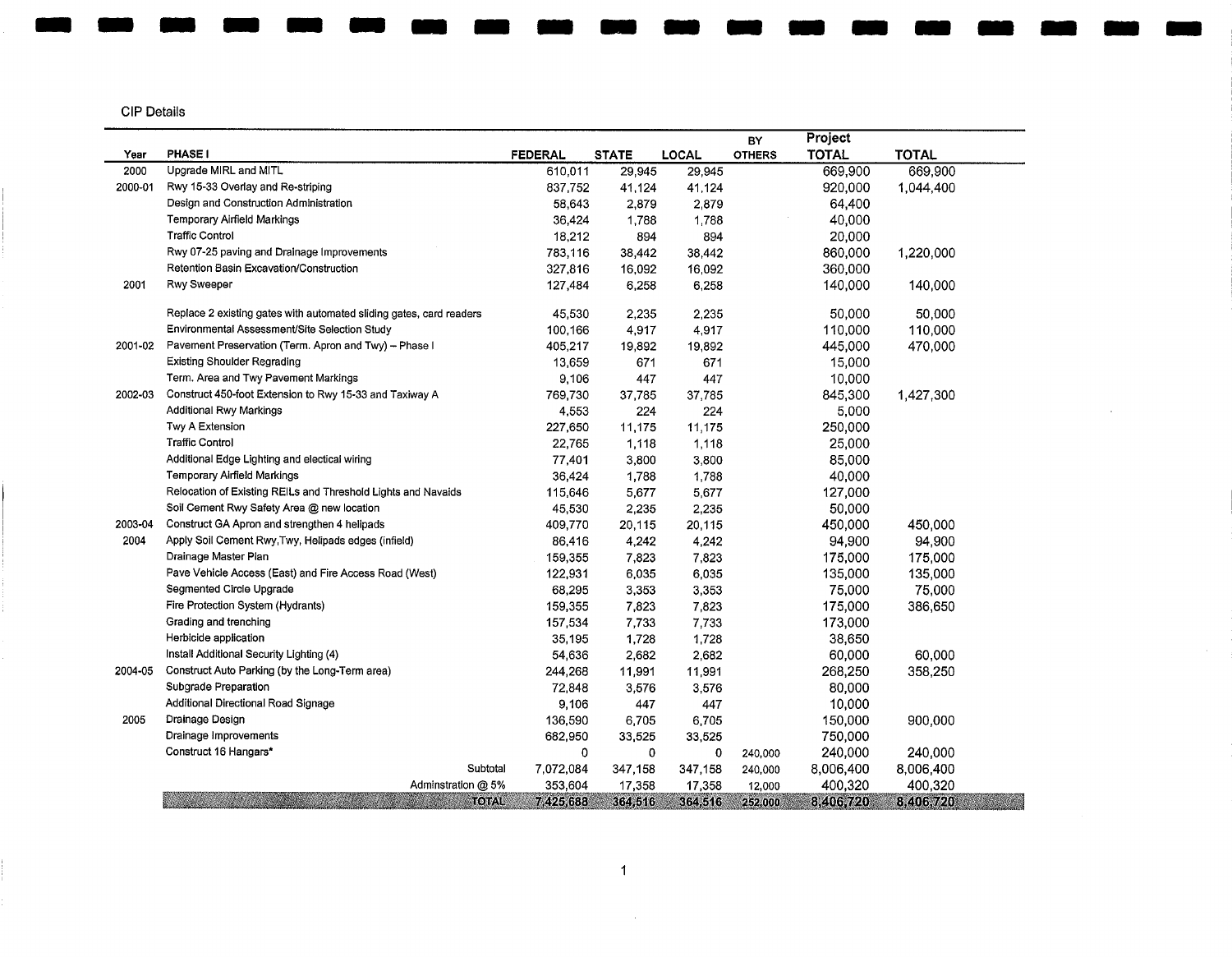CIP Details

|         |                                                                     |                |              |         | <b>BY</b>     | <b>Project</b> |              |
|---------|---------------------------------------------------------------------|----------------|--------------|---------|---------------|----------------|--------------|
| Year    | PHASE I                                                             | <b>FEDERAL</b> | <b>STATE</b> | LOCAL   | <b>OTHERS</b> | <b>TOTAL</b>   | <b>TOTAL</b> |
| 2000    | Upgrade MIRL and MITL                                               | 610,011        | 29,945       | 29,945  |               | 669,900        | 669,900      |
| 2000-01 | Rwy 15-33 Overlay and Re-striping                                   | 837,752        | 41,124       | 41,124  |               | 920,000        | 1,044,400    |
|         | Design and Construction Administration                              | 58,643         | 2,879        | 2,879   |               | 64,400         |              |
|         | <b>Temporary Airfield Markings</b>                                  | 36,424         | 1,788        | 1,788   |               | 40,000         |              |
|         | <b>Traffic Control</b>                                              | 18,212         | 894          | 894     |               | 20,000         |              |
|         | Rwy 07-25 paving and Drainage Improvements                          | 783,116        | 38,442       | 38,442  |               | 860,000        | 1,220,000    |
|         | Retention Basin Excavation/Construction                             | 327,816        | 16,092       | 16,092  |               | 360,000        |              |
| 2001    | Rwy Sweeper                                                         | 127,484        | 6,258        | 6,258   |               | 140,000        | 140,000      |
|         | Replace 2 existing gates with automated sliding gates, card readers | 45,530         | 2,235        | 2,235   |               | 50,000         | 50,000       |
|         | Environmental Assessment/Site Selection Study                       | 100,166        | 4,917        | 4,917   |               | 110,000        | 110,000      |
| 2001-02 | Pavement Preservation (Term. Apron and Twy) - Phase I               | 405.217        | 19,892       | 19,892  |               | 445,000        | 470,000      |
|         | <b>Existing Shoulder Regrading</b>                                  | 13.659         | 671          | 671     |               | 15,000         |              |
|         | Term. Area and Twy Pavement Markings                                | 9,106          | 447          | 447     |               | 10,000         |              |
| 2002-03 | Construct 450-foot Extension to Rwy 15-33 and Taxiway A             | 769,730        | 37,785       | 37,785  |               | 845,300        | 1,427,300    |
|         | Additional Rwy Markings                                             | 4,553          | 224          | 224     |               | 5,000          |              |
|         | Twy A Extension                                                     | 227,650        | 11,175       | 11,175  |               | 250,000        |              |
|         | <b>Traffic Control</b>                                              | 22.765         | 1,118        | 1,118   |               | 25,000         |              |
|         | Additional Edge Lighting and electical wiring                       | 77,401         | 3,800        | 3,800   |               | 85,000         |              |
|         | Temporary Airfield Markings                                         | 36,424         | 1,788        | 1,788   |               | 40,000         |              |
|         | Relocation of Existing REILs and Threshold Lights and Navaids       | 115,646        | 5,677        | 5,677   |               | 127,000        |              |
|         | Soil Cement Rwy Safety Area @ new location                          | 45,530         | 2,235        | 2,235   |               | 50,000         |              |
| 2003-04 | Construct GA Apron and strengthen 4 helipads                        | 409,770        | 20,115       | 20,115  |               | 450,000        | 450,000      |
| 2004    | Apply Soil Cement Rwy, Twy, Helipads edges (infield)                | 86,416         | 4,242        | 4,242   |               | 94,900         | 94,900       |
|         | Drainage Master Plan                                                | 159,355        | 7,823        | 7,823   |               | 175,000        | 175,000      |
|         | Pave Vehicle Access (East) and Fire Access Road (West)              | 122,931        | 6,035        | 6,035   |               | 135,000        | 135,000      |
|         | Segmented Circle Upgrade                                            | 68,295         | 3,353        | 3,353   |               | 75,000         | 75,000       |
|         | Fire Protection System (Hydrants)                                   | 159,355        | 7,823        | 7,823   |               | 175,000        | 386,650      |
|         | Grading and trenching                                               | 157,534        | 7,733        | 7,733   |               | 173,000        |              |
|         | Herbicide application                                               | 35,195         | 1,728        | 1,728   |               | 38,650         |              |
|         | Install Additional Security Lighting (4)                            | 54,636         | 2,682        | 2,682   |               | 60,000         | 60,000       |
| 2004-05 | Construct Auto Parking (by the Long-Term area)                      | 244,268        | 11,991       | 11,991  |               | 268,250        | 358,250      |
|         | Subgrade Preparation                                                | 72,848         | 3,576        | 3,576   |               | 80,000         |              |
|         | Additional Directional Road Signage                                 | 9,106          | 447          | 447     |               | 10,000         |              |
| 2005    | Drainage Design                                                     | 136,590        | 6,705        | 6,705   |               | 150,000        | 900,000      |
|         | Drainage Improvements                                               | 682,950        | 33,525       | 33,525  |               | 750,000        |              |
|         | Construct 16 Hangars*                                               | 0              | 0            | 0       | 240,000       | 240,000        | 240,000      |
|         | Subtotal                                                            | 7,072,084      | 347,158      | 347,158 | 240,000       | 8,006,400      | 8,006,400    |
|         | Adminstration @ 5%                                                  | 353,604        | 17,358       | 17,358  | 12,000        | 400,320        | 400,320      |
|         | <b>TOTAL</b>                                                        | 7.425.638      | 364,516      | 364.516 | 252.000%      | 8 406 720      | 8.406.720    |

**m m m m m m m n m m m m m m m m m m**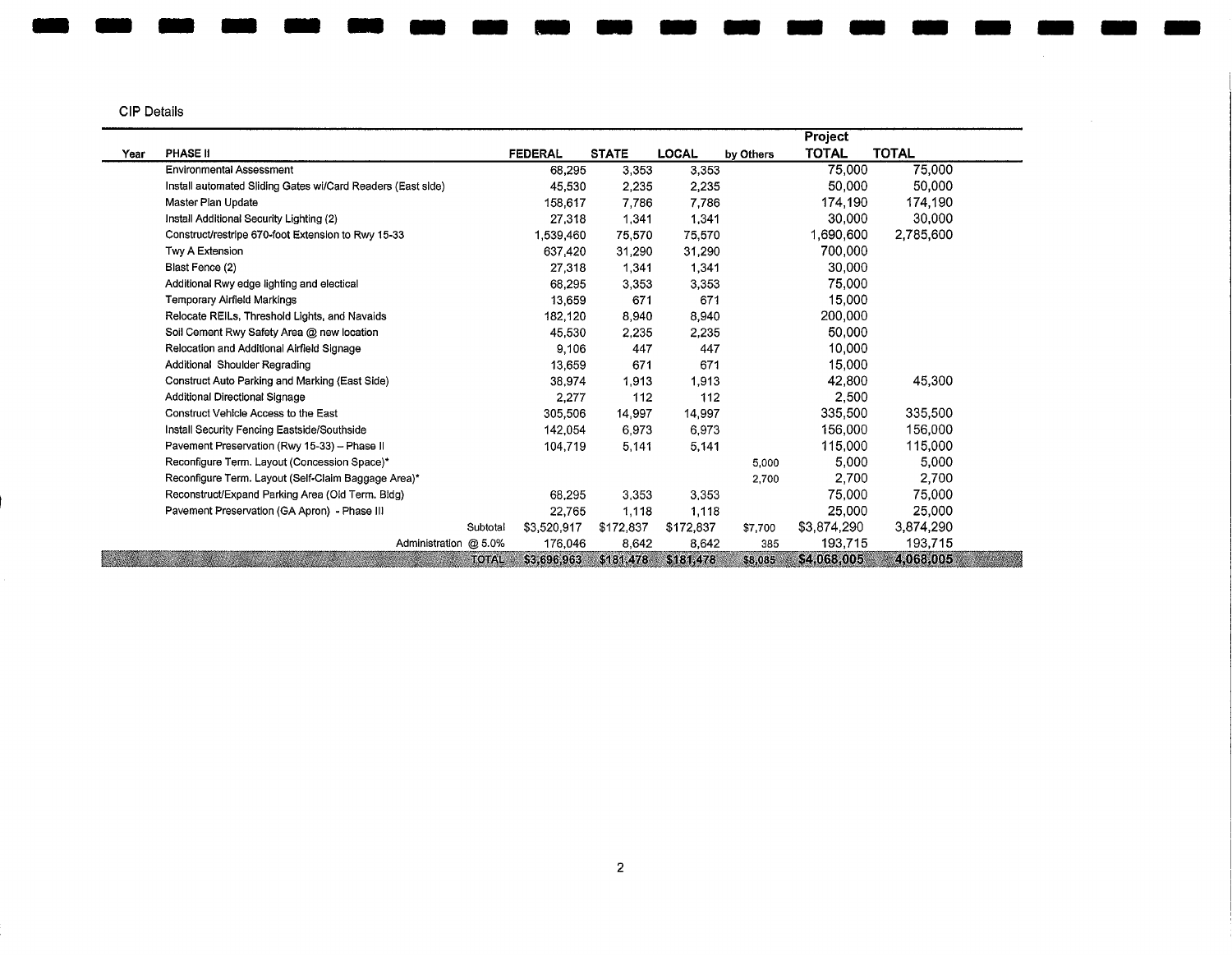**ClP Details** 

|      |                                                             |                |              |           |           | <b>Project</b> |              |
|------|-------------------------------------------------------------|----------------|--------------|-----------|-----------|----------------|--------------|
| Year | <b>PHASE II</b>                                             | <b>FEDERAL</b> | <b>STATE</b> | LOCAL     | by Others | <b>TOTAL</b>   | <b>TOTAL</b> |
|      | <b>Environmental Assessment</b>                             | 68,295         | 3,353        | 3,353     |           | 75,000         | 75,000       |
|      | Install automated Sliding Gates wi/Card Readers (East side) | 45,530         | 2,235        | 2,235     |           | 50,000         | 50,000       |
|      | Master Plan Update                                          | 158,617        | 7,786        | 7,786     |           | 174,190        | 174,190      |
|      | Install Additional Security Lighting (2)                    | 27,318         | 1.341        | 1,341     |           | 30,000         | 30,000       |
|      | Construct/restripe 670-foot Extension to Rwy 15-33          | 1,539,460      | 75,570       | 75,570    |           | 1,690,600      | 2,785,600    |
|      | Twy A Extension                                             | 637,420        | 31,290       | 31,290    |           | 700,000        |              |
|      | Blast Fence (2)                                             | 27,318         | 1,341        | 1,341     |           | 30,000         |              |
|      | Additional Rwy edge lighting and electical                  | 68.295         | 3,353        | 3,353     |           | 75,000         |              |
|      | <b>Temporary Airfield Markings</b>                          | 13,659         | 671          | 671       |           | 15,000         |              |
|      | Relocate REILs, Threshold Lights, and Navaids               | 182,120        | 8,940        | 8,940     |           | 200,000        |              |
|      | Soil Cement Rwy Safety Area @ new location                  | 45,530         | 2.235        | 2.235     |           | 50,000         |              |
|      | Relocation and Additional Airfield Signage                  | 9,106          | 447          | 447       |           | 10,000         |              |
|      | Additional Shoulder Regrading                               | 13,659         | 671          | 671       |           | 15,000         |              |
|      | Construct Auto Parking and Marking (East Side)              | 38,974         | 1.913        | 1,913     |           | 42,800         | 45,300       |
|      | Additional Directional Signage                              | 2,277          | 112          | 112       |           | 2,500          |              |
|      | Construct Vehicle Access to the East                        | 305,506        | 14.997       | 14.997    |           | 335,500        | 335,500      |
|      | Install Security Fencing Eastside/Southside                 | 142,054        | 6.973        | 6,973     |           | 156,000        | 156,000      |
|      | Pavement Preservation (Rwy 15-33) - Phase II                | 104,719        | 5.141        | 5,141     |           | 115,000        | 115,000      |
|      | Reconfigure Term. Layout (Concession Space)*                |                |              |           | 5,000     | 5.000          | 5,000        |
|      | Reconfigure Term. Layout (Self-Claim Baggage Area)*         |                |              |           | 2,700     | 2,700          | 2,700        |
|      | Reconstruct/Expand Parking Area (Old Term, Bldg)            | 68.295         | 3.353        | 3,353     |           | 75,000         | 75,000       |
|      | Pavement Preservation (GA Apron) - Phase III                | 22,765         | 1,118        | 1.118     |           | 25,000         | 25,000       |
|      | Subtotal                                                    | \$3,520,917    | \$172,837    | \$172,837 | \$7,700   | \$3,874,290    | 3,874,290    |
|      | Administration @ 5.0%                                       | 176,046        | 8,642        | 8,642     | 385       | 193,715        | 193,715      |
|      | <b>TOTAL</b>                                                | \$3,696,963    | \$181,478    | \$181,478 | \$8,085   | \$4,068,005    | 4,068,005    |

**m m m m m m m m m n m m m m m m m m m**